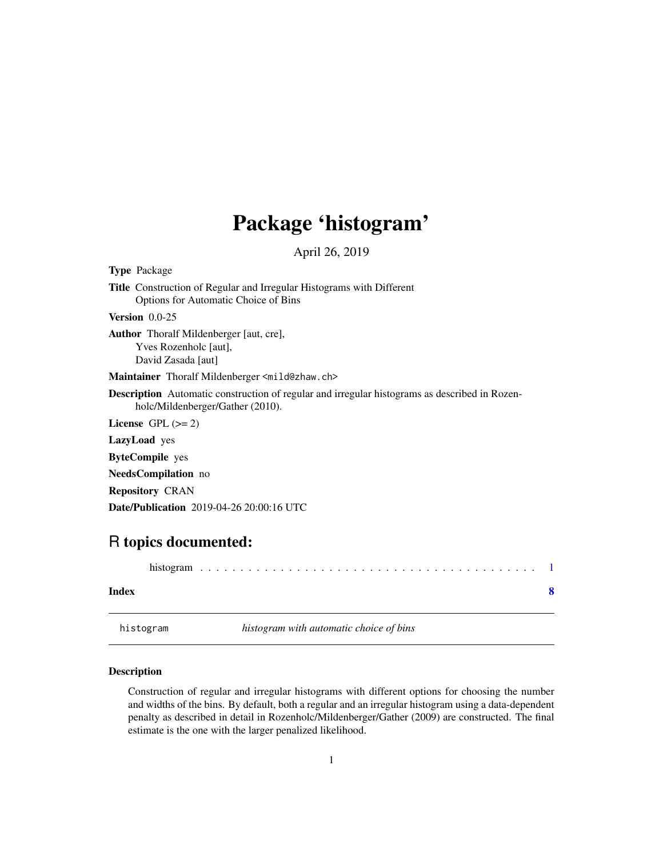## <span id="page-0-0"></span>Package 'histogram'

April 26, 2019

<span id="page-0-1"></span>Type Package

Title Construction of Regular and Irregular Histograms with Different Options for Automatic Choice of Bins Version 0.0-25 Author Thoralf Mildenberger [aut, cre], Yves Rozenholc [aut], David Zasada [aut] Maintainer Thoralf Mildenberger <mild@zhaw.ch> Description Automatic construction of regular and irregular histograms as described in Rozenholc/Mildenberger/Gather (2010). License GPL  $(>= 2)$ LazyLoad yes ByteCompile yes NeedsCompilation no Repository CRAN Date/Publication 2019-04-26 20:00:16 UTC

### R topics documented:

| Index |  |  |  |  |  |  |  |  |  |  |  |  |  |  |  |  |
|-------|--|--|--|--|--|--|--|--|--|--|--|--|--|--|--|--|
|       |  |  |  |  |  |  |  |  |  |  |  |  |  |  |  |  |

histogram *histogram with automatic choice of bins*

#### Description

Construction of regular and irregular histograms with different options for choosing the number and widths of the bins. By default, both a regular and an irregular histogram using a data-dependent penalty as described in detail in Rozenholc/Mildenberger/Gather (2009) are constructed. The final estimate is the one with the larger penalized likelihood.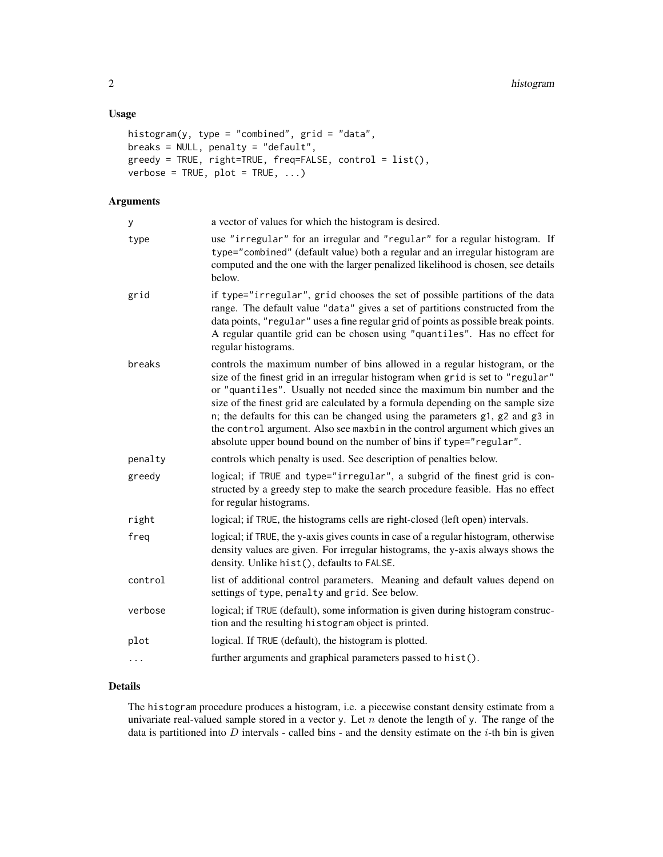#### Usage

```
histogram(y, type = "combined", grid = "data",breaks = NULL, penalty = "default",
greedy = TRUE, right=TRUE, freq=FALSE, control = list(),
verbose = TRUE, plot = TRUE, ...
```
#### Arguments

| y       | a vector of values for which the histogram is desired.                                                                                                                                                                                                                                                                                                                                                                                                                                                                                                               |
|---------|----------------------------------------------------------------------------------------------------------------------------------------------------------------------------------------------------------------------------------------------------------------------------------------------------------------------------------------------------------------------------------------------------------------------------------------------------------------------------------------------------------------------------------------------------------------------|
| type    | use "irregular" for an irregular and "regular" for a regular histogram. If<br>type="combined" (default value) both a regular and an irregular histogram are<br>computed and the one with the larger penalized likelihood is chosen, see details<br>below.                                                                                                                                                                                                                                                                                                            |
| grid    | if type="irregular", grid chooses the set of possible partitions of the data<br>range. The default value "data" gives a set of partitions constructed from the<br>data points, "regular" uses a fine regular grid of points as possible break points.<br>A regular quantile grid can be chosen using "quantiles". Has no effect for<br>regular histograms.                                                                                                                                                                                                           |
| breaks  | controls the maximum number of bins allowed in a regular histogram, or the<br>size of the finest grid in an irregular histogram when grid is set to "regular"<br>or "quantiles". Usually not needed since the maximum bin number and the<br>size of the finest grid are calculated by a formula depending on the sample size<br>n; the defaults for this can be changed using the parameters g1, g2 and g3 in<br>the control argument. Also see maxbin in the control argument which gives an<br>absolute upper bound bound on the number of bins if type="regular". |
| penalty | controls which penalty is used. See description of penalties below.                                                                                                                                                                                                                                                                                                                                                                                                                                                                                                  |
| greedy  | logical; if TRUE and type="irregular", a subgrid of the finest grid is con-<br>structed by a greedy step to make the search procedure feasible. Has no effect<br>for regular histograms.                                                                                                                                                                                                                                                                                                                                                                             |
| right   | logical; if TRUE, the histograms cells are right-closed (left open) intervals.                                                                                                                                                                                                                                                                                                                                                                                                                                                                                       |
| freq    | logical; if TRUE, the y-axis gives counts in case of a regular histogram, otherwise<br>density values are given. For irregular histograms, the y-axis always shows the<br>density. Unlike hist(), defaults to FALSE.                                                                                                                                                                                                                                                                                                                                                 |
| control | list of additional control parameters. Meaning and default values depend on<br>settings of type, penalty and grid. See below.                                                                                                                                                                                                                                                                                                                                                                                                                                        |
| verbose | logical; if TRUE (default), some information is given during histogram construc-<br>tion and the resulting histogram object is printed.                                                                                                                                                                                                                                                                                                                                                                                                                              |
| plot    | logical. If TRUE (default), the histogram is plotted.                                                                                                                                                                                                                                                                                                                                                                                                                                                                                                                |
| .       | further arguments and graphical parameters passed to hist().                                                                                                                                                                                                                                                                                                                                                                                                                                                                                                         |
|         |                                                                                                                                                                                                                                                                                                                                                                                                                                                                                                                                                                      |

#### Details

The histogram procedure produces a histogram, i.e. a piecewise constant density estimate from a univariate real-valued sample stored in a vector y. Let  $n$  denote the length of y. The range of the data is partitioned into  $D$  intervals - called bins - and the density estimate on the  $i$ -th bin is given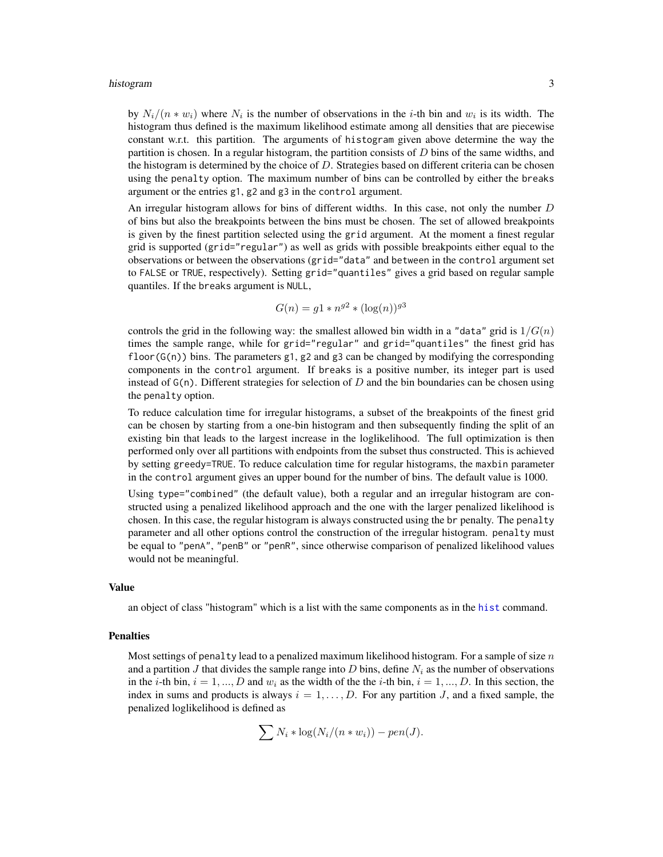#### <span id="page-2-0"></span>histogram 3

by  $N_i/(n*w_i)$  where  $N_i$  is the number of observations in the *i*-th bin and  $w_i$  is its width. The histogram thus defined is the maximum likelihood estimate among all densities that are piecewise constant w.r.t. this partition. The arguments of histogram given above determine the way the partition is chosen. In a regular histogram, the partition consists of  $D$  bins of the same widths, and the histogram is determined by the choice of  $D$ . Strategies based on different criteria can be chosen using the penalty option. The maximum number of bins can be controlled by either the breaks argument or the entries g1, g2 and g3 in the control argument.

An irregular histogram allows for bins of different widths. In this case, not only the number  $D$ of bins but also the breakpoints between the bins must be chosen. The set of allowed breakpoints is given by the finest partition selected using the grid argument. At the moment a finest regular grid is supported (grid="regular") as well as grids with possible breakpoints either equal to the observations or between the observations (grid="data" and between in the control argument set to FALSE or TRUE, respectively). Setting grid="quantiles" gives a grid based on regular sample quantiles. If the breaks argument is NULL,

$$
G(n) = g1 * n^{g2} * (\log(n))^{g3}
$$

controls the grid in the following way: the smallest allowed bin width in a "data" grid is  $1/G(n)$ times the sample range, while for grid="regular" and grid="quantiles" the finest grid has floor( $G(n)$ ) bins. The parameters g1, g2 and g3 can be changed by modifying the corresponding components in the control argument. If breaks is a positive number, its integer part is used instead of  $G(n)$ . Different strategies for selection of D and the bin boundaries can be chosen using the penalty option.

To reduce calculation time for irregular histograms, a subset of the breakpoints of the finest grid can be chosen by starting from a one-bin histogram and then subsequently finding the split of an existing bin that leads to the largest increase in the loglikelihood. The full optimization is then performed only over all partitions with endpoints from the subset thus constructed. This is achieved by setting greedy=TRUE. To reduce calculation time for regular histograms, the maxbin parameter in the control argument gives an upper bound for the number of bins. The default value is 1000.

Using type="combined" (the default value), both a regular and an irregular histogram are constructed using a penalized likelihood approach and the one with the larger penalized likelihood is chosen. In this case, the regular histogram is always constructed using the br penalty. The penalty parameter and all other options control the construction of the irregular histogram. penalty must be equal to "penA", "penB" or "penR", since otherwise comparison of penalized likelihood values would not be meaningful.

#### Value

an object of class "histogram" which is a list with the same components as in the [hist](#page-0-1) command.

#### Penalties

Most settings of penalty lead to a penalized maximum likelihood histogram. For a sample of size  $n$ and a partition J that divides the sample range into D bins, define  $N_i$  as the number of observations in the *i*-th bin,  $i = 1, ..., D$  and  $w_i$  as the width of the the *i*-th bin,  $i = 1, ..., D$ . In this section, the index in sums and products is always  $i = 1, \ldots, D$ . For any partition J, and a fixed sample, the penalized loglikelihood is defined as

$$
\sum N_i * \log(N_i/(n*w_i)) - pen(J).
$$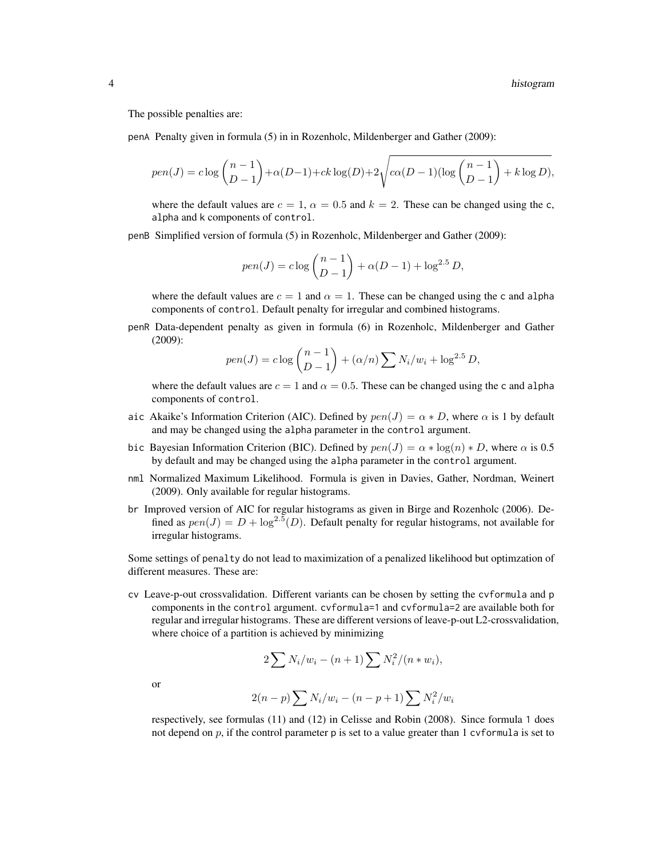The possible penalties are:

penA Penalty given in formula (5) in in Rozenholc, Mildenberger and Gather (2009):

$$
pen(J) = c \log \binom{n-1}{D-1} + \alpha(D-1) + ck \log(D) + 2\sqrt{c\alpha(D-1)(\log \binom{n-1}{D-1} + k \log D)},
$$

where the default values are  $c = 1$ ,  $\alpha = 0.5$  and  $k = 2$ . These can be changed using the c, alpha and k components of control.

penB Simplified version of formula (5) in Rozenholc, Mildenberger and Gather (2009):

$$
pen(J) = c \log \binom{n-1}{D-1} + \alpha(D-1) + \log^{2.5} D,
$$

where the default values are  $c = 1$  and  $\alpha = 1$ . These can be changed using the c and alpha components of control. Default penalty for irregular and combined histograms.

penR Data-dependent penalty as given in formula (6) in Rozenholc, Mildenberger and Gather (2009):

$$
pen(J) = c \log \binom{n-1}{D-1} + (\alpha/n) \sum N_i/w_i + \log^{2.5} D,
$$

where the default values are  $c = 1$  and  $\alpha = 0.5$ . These can be changed using the c and alpha components of control.

- aic Akaike's Information Criterion (AIC). Defined by  $pen(J) = \alpha * D$ , where  $\alpha$  is 1 by default and may be changed using the alpha parameter in the control argument.
- bic Bayesian Information Criterion (BIC). Defined by  $pen(J) = \alpha * log(n) * D$ , where  $\alpha$  is 0.5 by default and may be changed using the alpha parameter in the control argument.
- nml Normalized Maximum Likelihood. Formula is given in Davies, Gather, Nordman, Weinert (2009). Only available for regular histograms.
- br Improved version of AIC for regular histograms as given in Birge and Rozenholc (2006). Defined as  $pen(J) = D + \log^{2.5}(D)$ . Default penalty for regular histograms, not available for irregular histograms.

Some settings of penalty do not lead to maximization of a penalized likelihood but optimzation of different measures. These are:

cv Leave-p-out crossvalidation. Different variants can be chosen by setting the cvformula and p components in the control argument. cvformula=1 and cvformula=2 are available both for regular and irregular histograms. These are different versions of leave-p-out L2-crossvalidation, where choice of a partition is achieved by minimizing

$$
2\sum N_i/w_i - (n+1)\sum N_i^2/(n*w_i),
$$

or

$$
2(n-p) \sum N_i/w_i - (n-p+1) \sum N_i^2/w_i
$$

respectively, see formulas (11) and (12) in Celisse and Robin (2008). Since formula 1 does not depend on  $p$ , if the control parameter p is set to a value greater than 1 cvformula is set to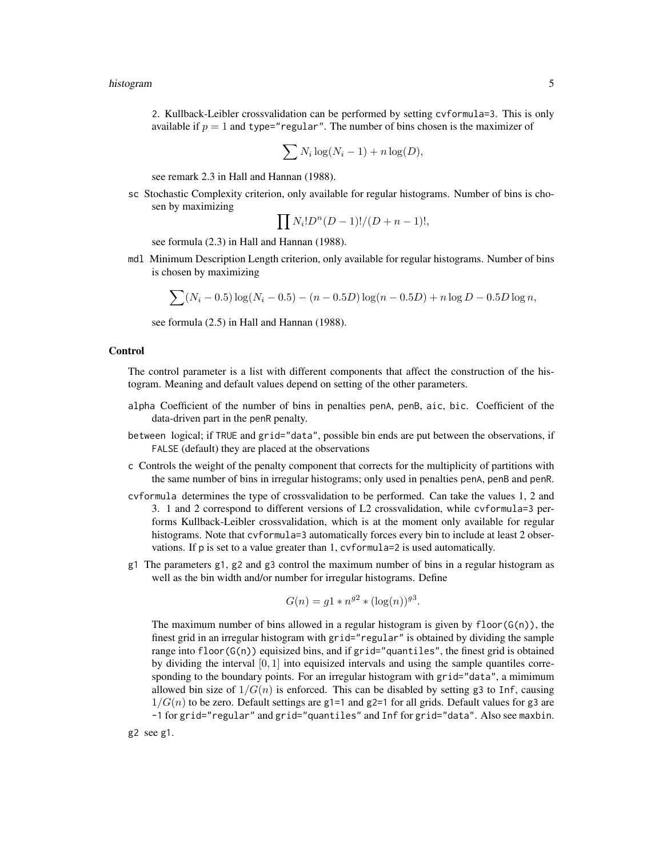2. Kullback-Leibler crossvalidation can be performed by setting cvformula=3. This is only available if  $p = 1$  and type="regular". The number of bins chosen is the maximizer of

$$
\sum N_i \log(N_i - 1) + n \log(D),
$$

see remark 2.3 in Hall and Hannan (1988).

sc Stochastic Complexity criterion, only available for regular histograms. Number of bins is chosen by maximizing

$$
\prod N_i! D^n (D-1)!/(D+n-1)!,
$$

see formula (2.3) in Hall and Hannan (1988).

mdl Minimum Description Length criterion, only available for regular histograms. Number of bins is chosen by maximizing

$$
\sum (N_i - 0.5) \log(N_i - 0.5) - (n - 0.5D) \log(n - 0.5D) + n \log D - 0.5D \log n,
$$

see formula (2.5) in Hall and Hannan (1988).

#### Control

The control parameter is a list with different components that affect the construction of the histogram. Meaning and default values depend on setting of the other parameters.

- alpha Coefficient of the number of bins in penalties penA, penB, aic, bic. Coefficient of the data-driven part in the penR penalty.
- between logical; if TRUE and grid="data", possible bin ends are put between the observations, if FALSE (default) they are placed at the observations
- c Controls the weight of the penalty component that corrects for the multiplicity of partitions with the same number of bins in irregular histograms; only used in penalties penA, penB and penR.
- cvformula determines the type of crossvalidation to be performed. Can take the values 1, 2 and 3. 1 and 2 correspond to different versions of L2 crossvalidation, while cvformula=3 performs Kullback-Leibler crossvalidation, which is at the moment only available for regular histograms. Note that cvformula=3 automatically forces every bin to include at least 2 observations. If p is set to a value greater than 1, cvformula=2 is used automatically.
- g1 The parameters g1, g2 and g3 control the maximum number of bins in a regular histogram as well as the bin width and/or number for irregular histograms. Define

$$
G(n) = g1 * n^{g2} * (\log(n))^{g3}.
$$

The maximum number of bins allowed in a regular histogram is given by  $floor(G(n))$ , the finest grid in an irregular histogram with grid="regular" is obtained by dividing the sample range into  $floor(G(n))$  equisized bins, and if grid="quantiles", the finest grid is obtained by dividing the interval  $[0, 1]$  into equisized intervals and using the sample quantiles corresponding to the boundary points. For an irregular histogram with grid="data", a mimimum allowed bin size of  $1/G(n)$  is enforced. This can be disabled by setting g3 to Inf, causing  $1/G(n)$  to be zero. Default settings are g1=1 and g2=1 for all grids. Default values for g3 are -1 for grid="regular" and grid="quantiles" and Inf for grid="data". Also see maxbin.

g2 see g1.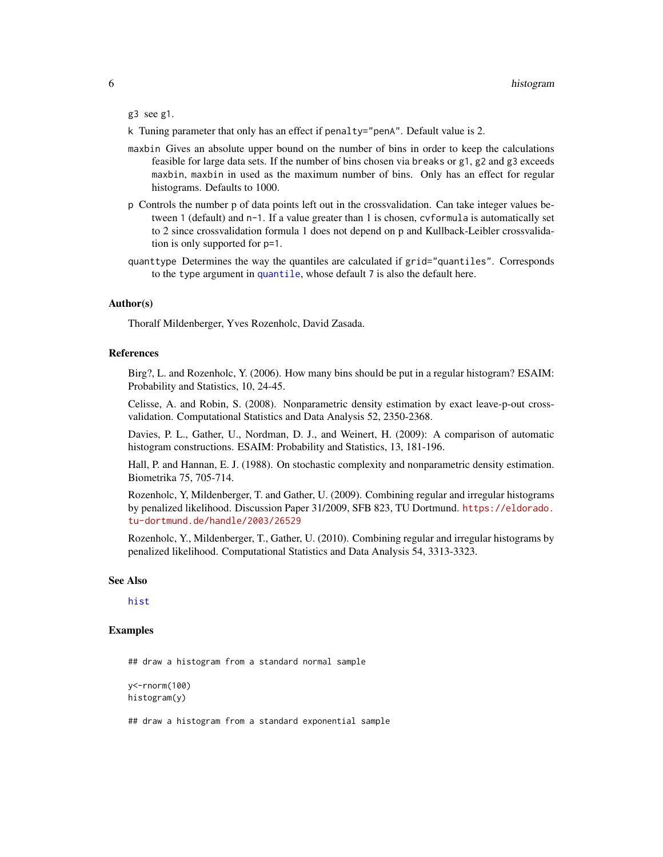#### <span id="page-5-0"></span>g3 see g1.

- k Tuning parameter that only has an effect if penalty="penA". Default value is 2.
- maxbin Gives an absolute upper bound on the number of bins in order to keep the calculations feasible for large data sets. If the number of bins chosen via breaks or g1, g2 and g3 exceeds maxbin, maxbin in used as the maximum number of bins. Only has an effect for regular histograms. Defaults to 1000.
- p Controls the number p of data points left out in the crossvalidation. Can take integer values between 1 (default) and n-1. If a value greater than 1 is chosen, cvformula is automatically set to 2 since crossvalidation formula 1 does not depend on p and Kullback-Leibler crossvalidation is only supported for p=1.
- quanttype Determines the way the quantiles are calculated if grid="quantiles". Corresponds to the type argument in [quantile](#page-0-1), whose default 7 is also the default here.

#### Author(s)

Thoralf Mildenberger, Yves Rozenholc, David Zasada.

#### References

Birg?, L. and Rozenholc, Y. (2006). How many bins should be put in a regular histogram? ESAIM: Probability and Statistics, 10, 24-45.

Celisse, A. and Robin, S. (2008). Nonparametric density estimation by exact leave-p-out crossvalidation. Computational Statistics and Data Analysis 52, 2350-2368.

Davies, P. L., Gather, U., Nordman, D. J., and Weinert, H. (2009): A comparison of automatic histogram constructions. ESAIM: Probability and Statistics, 13, 181-196.

Hall, P. and Hannan, E. J. (1988). On stochastic complexity and nonparametric density estimation. Biometrika 75, 705-714.

Rozenholc, Y, Mildenberger, T. and Gather, U. (2009). Combining regular and irregular histograms by penalized likelihood. Discussion Paper 31/2009, SFB 823, TU Dortmund. [https://eldorado.](https://eldorado.tu-dortmund.de/handle/2003/26529) [tu-dortmund.de/handle/2003/26529](https://eldorado.tu-dortmund.de/handle/2003/26529)

Rozenholc, Y., Mildenberger, T., Gather, U. (2010). Combining regular and irregular histograms by penalized likelihood. Computational Statistics and Data Analysis 54, 3313-3323.

#### See Also

#### [hist](#page-0-1)

#### Examples

## draw a histogram from a standard normal sample

```
y<-rnorm(100)
histogram(y)
```
## draw a histogram from a standard exponential sample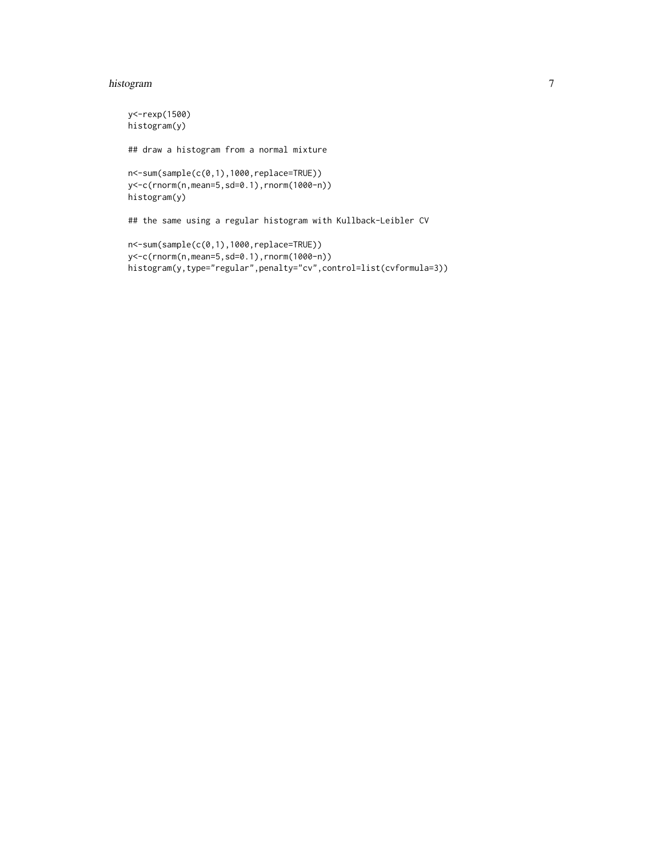#### histogram 7

```
y<-rexp(1500)
histogram(y)
## draw a histogram from a normal mixture
n<-sum(sample(c(0,1),1000,replace=TRUE))
y<-c(rnorm(n,mean=5,sd=0.1),rnorm(1000-n))
histogram(y)
## the same using a regular histogram with Kullback-Leibler CV
n<-sum(sample(c(0,1),1000,replace=TRUE))
y<-c(rnorm(n,mean=5,sd=0.1),rnorm(1000-n))
histogram(y,type="regular",penalty="cv",control=list(cvformula=3))
```